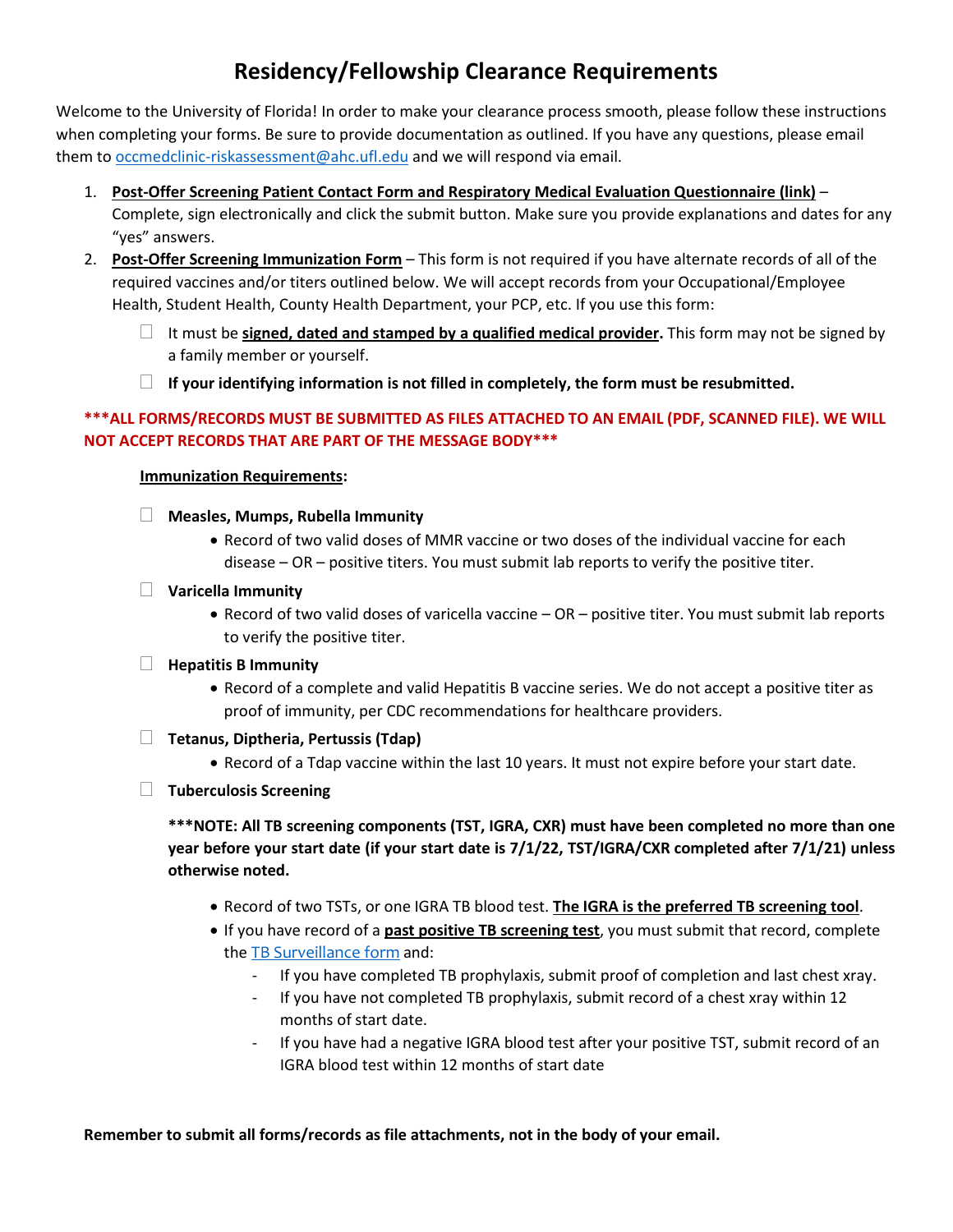### **Residency/Fellowship Clearance Requirements**

Welcome to the University of Florida! In order to make your clearance process smooth, please follow these instructions when completing your forms. Be sure to provide documentation as outlined. If you have any questions, please email them to [occmedclinic-riskassessment@ahc.ufl.edu](mailto:occmedclinic-riskassessment@ahc.ufl.edu) and we will respond via email.

- 1. **Post-Offer Screening Patient Contact Form and Respiratory Medical Evaluation Questionnaire (link)** Complete, sign electronically and click the submit button. Make sure you provide explanations and dates for any "yes" answers.
- 2. **Post-Offer Screening Immunization Form** This form is not required if you have alternate records of all of the required vaccines and/or titers outlined below. We will accept records from your Occupational/Employee Health, Student Health, County Health Department, your PCP, etc. If you use this form:
	- It must be **signed, dated and stamped by a qualified medical provider.** This form may not be signed by a family member or yourself.
	- **If your identifying information is not filled in completely, the form must be resubmitted.**

#### **\*\*\*ALL FORMS/RECORDS MUST BE SUBMITTED AS FILES ATTACHED TO AN EMAIL (PDF, SCANNED FILE). WE WILL NOT ACCEPT RECORDS THAT ARE PART OF THE MESSAGE BODY\*\*\***

#### **Immunization Requirements:**

- **Measles, Mumps, Rubella Immunity**
	- Record of two valid doses of MMR vaccine or two doses of the individual vaccine for each disease – OR – positive titers. You must submit lab reports to verify the positive titer.
- **Varicella Immunity**
	- Record of two valid doses of varicella vaccine OR positive titer. You must submit lab reports to verify the positive titer.
- **Hepatitis B Immunity**
	- Record of a complete and valid Hepatitis B vaccine series. We do not accept a positive titer as proof of immunity, per CDC recommendations for healthcare providers.
- **Tetanus, Diptheria, Pertussis (Tdap)**
	- Record of a Tdap vaccine within the last 10 years. It must not expire before your start date.
- **Tuberculosis Screening**

**\*\*\*NOTE: All TB screening components (TST, IGRA, CXR) must have been completed no more than one year before your start date (if your start date is 7/1/22, TST/IGRA/CXR completed after 7/1/21) unless otherwise noted.** 

- Record of two TSTs, or one IGRA TB blood test. **The IGRA is the preferred TB screening tool**.
- If you have record of a **past positive TB screening test**, you must submit that record, complete the [TB Surveillance form](http://shcc.ufl.edu/files/2011/09/CLG-106.pdf) and:
	- If you have completed TB prophylaxis, submit proof of completion and last chest xray.
	- If you have not completed TB prophylaxis, submit record of a chest xray within 12 months of start date.
	- If you have had a negative IGRA blood test after your positive TST, submit record of an IGRA blood test within 12 months of start date

**Remember to submit all forms/records as file attachments, not in the body of your email.**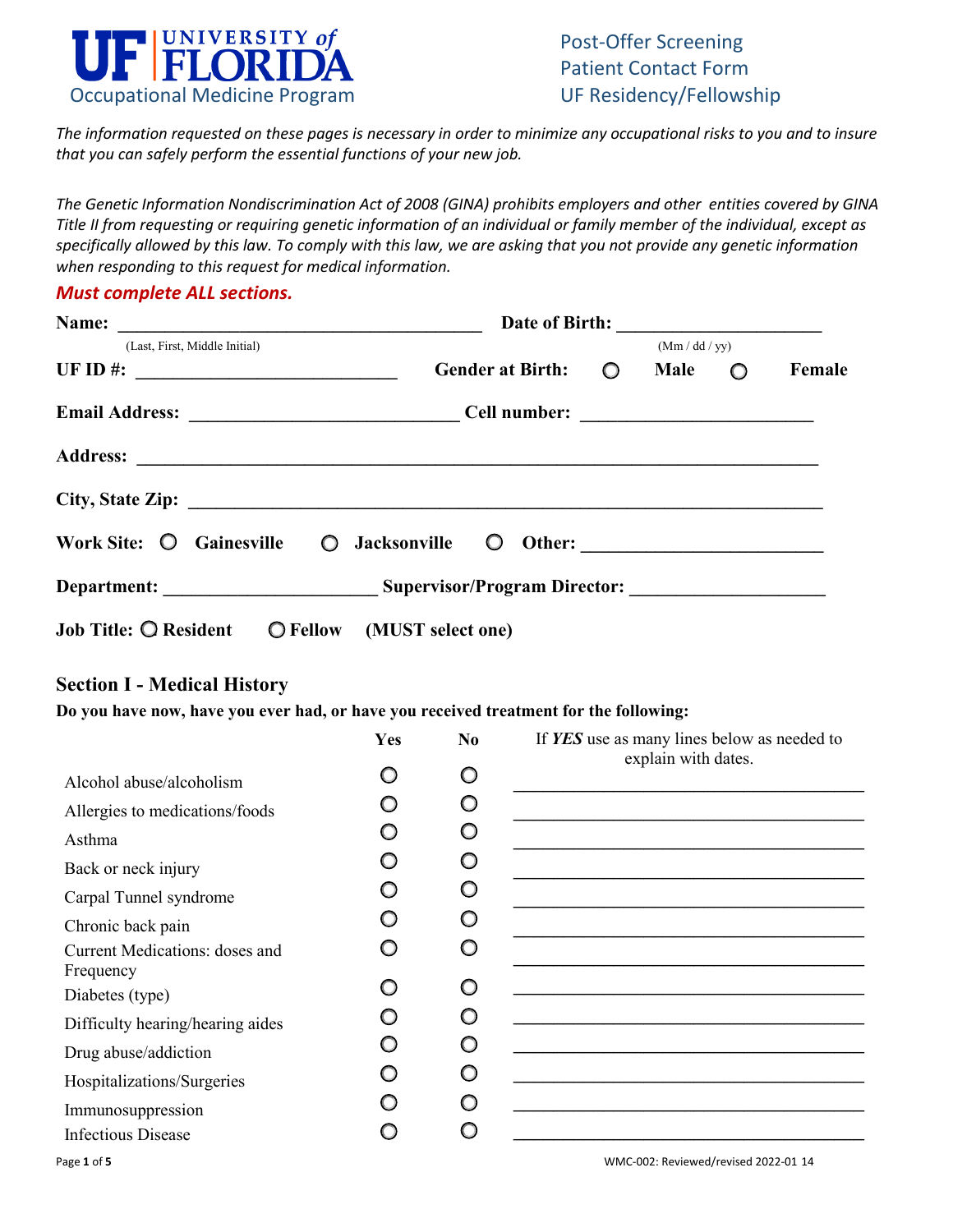

*The information requested on these pages is necessary in order to minimize any occupational risks to you and to insure that you can safely perform the essential functions of your new job.*

*The Genetic Information Nondiscrimination Act of 2008 (GINA) prohibits employers and other entities covered by GINA Title II from requesting or requiring genetic information of an individual or family member of the individual, except as specifically allowed by this law. To comply with this law, we are asking that you not provide any genetic information when responding to this request for medical information.*

#### *Must complete ALL sections.*

| Name:<br><u> 1980 - Jan James James Barnett, fransk politik (d. 1980)</u>                                                                                                                                                                                                                              |                            |              |                 |  |        |  |  |
|--------------------------------------------------------------------------------------------------------------------------------------------------------------------------------------------------------------------------------------------------------------------------------------------------------|----------------------------|--------------|-----------------|--|--------|--|--|
| (Last, First, Middle Initial)                                                                                                                                                                                                                                                                          |                            | (Mm/dd / yy) |                 |  |        |  |  |
| UF ID #: $\frac{1}{2}$ = $\frac{1}{2}$ = $\frac{1}{2}$ = $\frac{1}{2}$ = $\frac{1}{2}$ = $\frac{1}{2}$ = $\frac{1}{2}$ = $\frac{1}{2}$ = $\frac{1}{2}$ = $\frac{1}{2}$ = $\frac{1}{2}$ = $\frac{1}{2}$ = $\frac{1}{2}$ = $\frac{1}{2}$ = $\frac{1}{2}$ = $\frac{1}{2}$ = $\frac{1}{2}$ = $\frac{1}{2}$ | <b>Gender at Birth:</b>    | $\circ$      | Male $\bigcirc$ |  | Female |  |  |
|                                                                                                                                                                                                                                                                                                        |                            |              |                 |  |        |  |  |
|                                                                                                                                                                                                                                                                                                        |                            |              |                 |  |        |  |  |
|                                                                                                                                                                                                                                                                                                        |                            |              |                 |  |        |  |  |
| Work Site: O<br>Gainesville                                                                                                                                                                                                                                                                            | $\circ$<br>Jacksonville O  |              |                 |  |        |  |  |
|                                                                                                                                                                                                                                                                                                        |                            |              |                 |  |        |  |  |
| Job Title: <b>Q</b> Resident                                                                                                                                                                                                                                                                           | O Fellow (MUST select one) |              |                 |  |        |  |  |

#### **Section I - Medical History**

**Do you have now, have you ever had, or have you received treatment for the following:**

|                                                    | Yes | N <sub>0</sub> | If <b>YES</b> use as many lines below as needed to<br>explain with dates. |
|----------------------------------------------------|-----|----------------|---------------------------------------------------------------------------|
| Alcohol abuse/alcoholism                           | O   | O              |                                                                           |
| Allergies to medications/foods                     | ∩   | O              |                                                                           |
| Asthma                                             | O   | O              |                                                                           |
| Back or neck injury                                | ∩   | $\circ$        |                                                                           |
| Carpal Tunnel syndrome                             | O   | O              |                                                                           |
| Chronic back pain                                  | ∩   | O              |                                                                           |
| Current Medications: doses and                     | O   | O              |                                                                           |
| Frequency                                          | O   | O              |                                                                           |
| Diabetes (type)                                    | ∩   | O              |                                                                           |
| Difficulty hearing/hearing aides                   | O   | O              |                                                                           |
| Drug abuse/addiction<br>Hospitalizations/Surgeries | O   | $\circ$        |                                                                           |
|                                                    | ∩   | ∩              |                                                                           |
| Immunosuppression<br><b>Infectious Disease</b>     |     |                |                                                                           |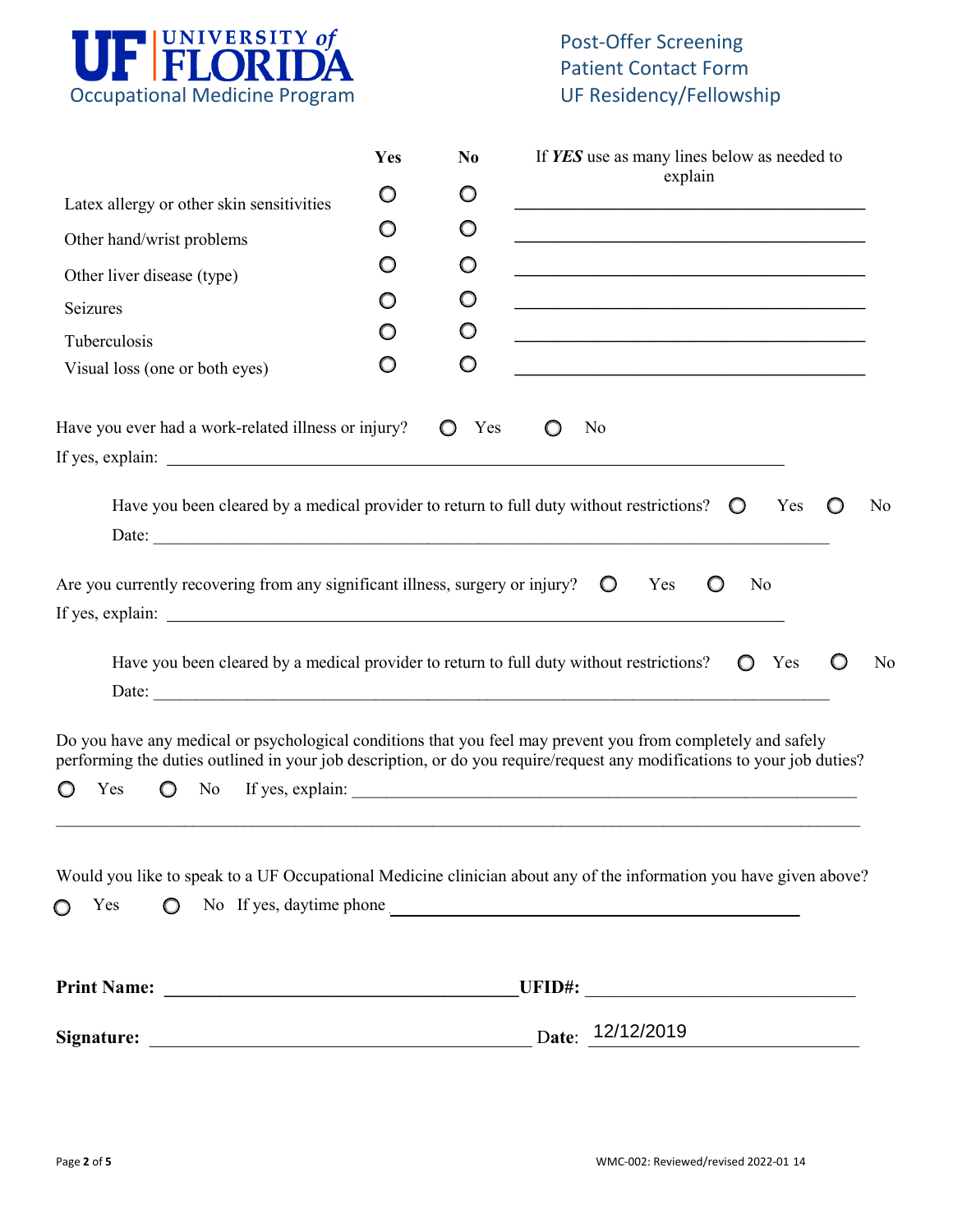

# Post-Offer Screening Patient Contact Form

|                                                                                                     | Yes | N <sub>0</sub> | If YES use as many lines below as needed to                                                                                                                                                                                             |  |
|-----------------------------------------------------------------------------------------------------|-----|----------------|-----------------------------------------------------------------------------------------------------------------------------------------------------------------------------------------------------------------------------------------|--|
| Latex allergy or other skin sensitivities                                                           | O   | O              | explain                                                                                                                                                                                                                                 |  |
| Other hand/wrist problems                                                                           | O   | O              |                                                                                                                                                                                                                                         |  |
| Other liver disease (type)                                                                          | O   | O              | <u> 1989 - Andrea Stadt Britain, amerikansk politiker (d. 1989)</u>                                                                                                                                                                     |  |
| Seizures                                                                                            | O   | O              | <u> 1989 - Johann Stein, marwolaethau a bhann an t-Amhair ann an t-Amhair an t-Amhair an t-Amhair an t-Amhair an</u>                                                                                                                    |  |
| Tuberculosis                                                                                        | O   | O              | <u> 1989 - Johann Harry Harry Harry Harry Harry Harry Harry Harry Harry Harry Harry Harry Harry Harry Harry Harry</u>                                                                                                                   |  |
| Visual loss (one or both eyes)                                                                      | O   | O              | <u> 1989 - Johann Harry Harry Harry Harry Harry Harry Harry Harry Harry Harry Harry Harry Harry Harry Harry Harry</u>                                                                                                                   |  |
| Have you ever had a work-related illness or injury?                                                 |     | Yes            | N <sub>0</sub>                                                                                                                                                                                                                          |  |
| Have you been cleared by a medical provider to return to full duty without restrictions? $\bigcirc$ |     |                | Yes<br>N <sub>o</sub>                                                                                                                                                                                                                   |  |
| Are you currently recovering from any significant illness, surgery or injury?                       |     |                | $\circ$<br>No<br>Yes                                                                                                                                                                                                                    |  |
| Have you been cleared by a medical provider to return to full duty without restrictions?            |     |                | Yes<br>N <sub>0</sub>                                                                                                                                                                                                                   |  |
| Yes<br>$\circ$                                                                                      |     |                | Do you have any medical or psychological conditions that you feel may prevent you from completely and safely<br>performing the duties outlined in your job description, or do you require/request any modifications to your job duties? |  |
| $\circ$<br>Yes                                                                                      |     |                | Would you like to speak to a UF Occupational Medicine clinician about any of the information you have given above?<br>No If yes, daytime phone                                                                                          |  |
|                                                                                                     |     |                |                                                                                                                                                                                                                                         |  |
|                                                                                                     |     |                |                                                                                                                                                                                                                                         |  |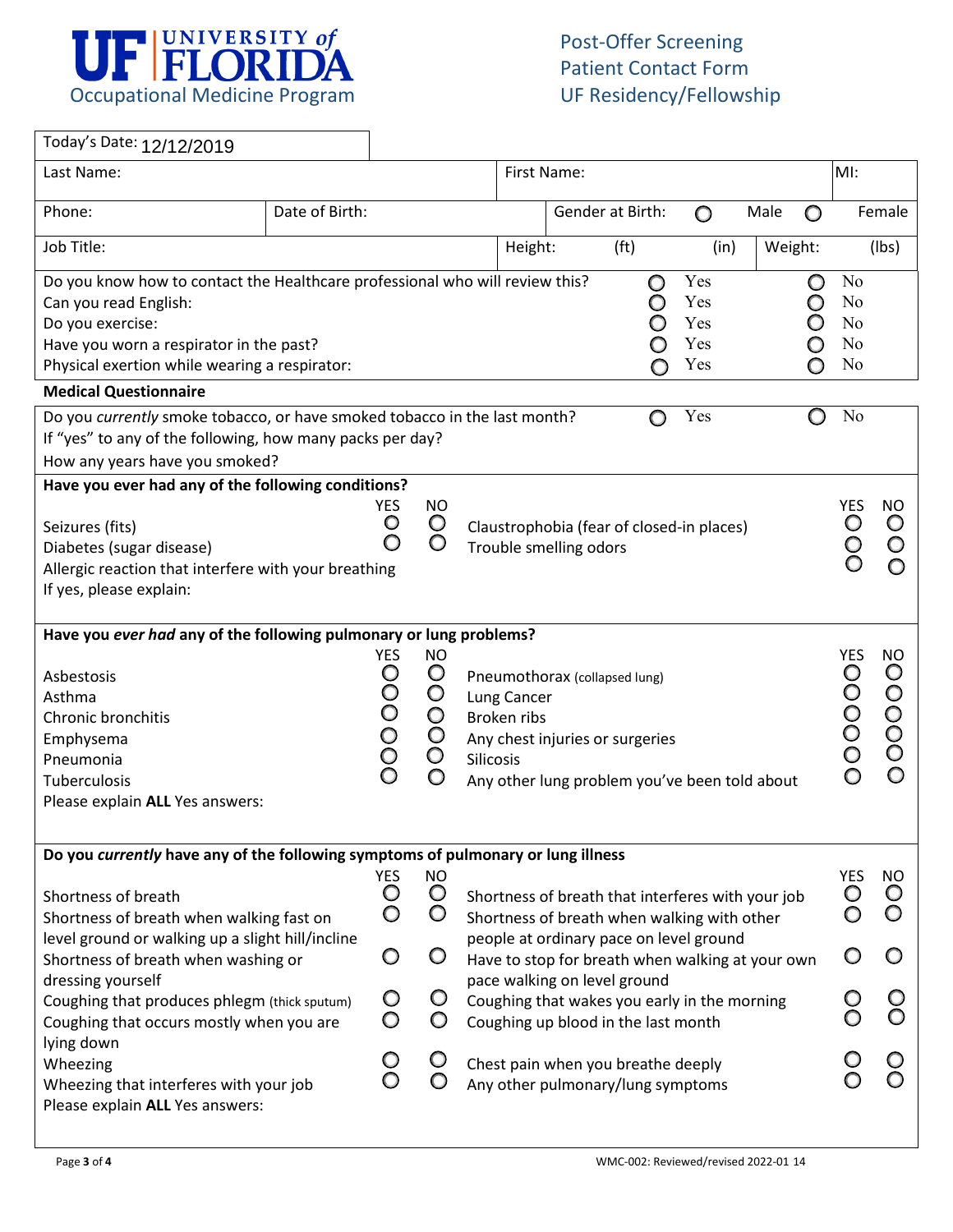

٦

 $\Gamma$ 

| Today's Date: 12/12/2019                                                                                                                                                                                              |                |                                                  |                                                                             |                                                                                                                                                              |             |                   |                                 |         |        |                                                                                        |                                      |
|-----------------------------------------------------------------------------------------------------------------------------------------------------------------------------------------------------------------------|----------------|--------------------------------------------------|-----------------------------------------------------------------------------|--------------------------------------------------------------------------------------------------------------------------------------------------------------|-------------|-------------------|---------------------------------|---------|--------|----------------------------------------------------------------------------------------|--------------------------------------|
| Last Name:                                                                                                                                                                                                            |                |                                                  |                                                                             |                                                                                                                                                              | First Name: |                   |                                 |         |        | MI:                                                                                    |                                      |
| Phone:                                                                                                                                                                                                                | Date of Birth: |                                                  |                                                                             |                                                                                                                                                              |             | Gender at Birth:  | O                               | Male    | O      |                                                                                        | Female                               |
| Job Title:                                                                                                                                                                                                            |                |                                                  |                                                                             | Height:                                                                                                                                                      |             | (f <sup>t</sup> ) | (in)                            | Weight: |        |                                                                                        | (lbs)                                |
| Do you know how to contact the Healthcare professional who will review this?<br>Can you read English:<br>Do you exercise:<br>Have you worn a respirator in the past?<br>Physical exertion while wearing a respirator: |                |                                                  |                                                                             |                                                                                                                                                              |             | O<br>O<br>Ω       | Yes<br>Yes<br>Yes<br>Yes<br>Yes |         | O<br>O | N <sub>o</sub><br>N <sub>o</sub><br>N <sub>o</sub><br>N <sub>o</sub><br>N <sub>o</sub> |                                      |
| <b>Medical Questionnaire</b>                                                                                                                                                                                          |                |                                                  |                                                                             |                                                                                                                                                              |             |                   |                                 |         |        |                                                                                        |                                      |
| Do you currently smoke tobacco, or have smoked tobacco in the last month?<br>If "yes" to any of the following, how many packs per day?<br>How any years have you smoked?                                              |                |                                                  |                                                                             |                                                                                                                                                              |             | O                 | Yes                             |         | O      | N <sub>o</sub>                                                                         |                                      |
| Have you ever had any of the following conditions?                                                                                                                                                                    |                |                                                  |                                                                             |                                                                                                                                                              |             |                   |                                 |         |        |                                                                                        |                                      |
| Seizures (fits)<br>Diabetes (sugar disease)<br>Allergic reaction that interfere with your breathing<br>If yes, please explain:                                                                                        |                | <b>YES</b><br>$\circ$<br>O                       | <b>NO</b><br>O<br>O                                                         | Claustrophobia (fear of closed-in places)<br>Trouble smelling odors                                                                                          |             |                   |                                 |         |        | <b>YES</b><br>$\circ$                                                                  | NO<br>$\circ$<br>O<br>O              |
| Have you ever had any of the following pulmonary or lung problems?                                                                                                                                                    |                |                                                  |                                                                             |                                                                                                                                                              |             |                   |                                 |         |        |                                                                                        |                                      |
| Asbestosis<br>Asthma<br>Chronic bronchitis<br>Emphysema<br>Pneumonia<br>Tuberculosis<br>Please explain ALL Yes answers:                                                                                               |                | <b>YES</b><br>O<br>$\circ$<br>$\circ$<br>OO<br>O | <b>NO</b><br>$\circ$<br>$\circ$<br>$\circ$<br>$\circ$<br>$\circ$<br>$\circ$ | Pneumothorax (collapsed lung)<br>Lung Cancer<br>Broken ribs<br>Any chest injuries or surgeries<br>Silicosis<br>Any other lung problem you've been told about |             |                   |                                 |         |        | <b>YES</b><br>$\circ$<br>$\bigcirc$<br>$\rm \ddot{\rm \rm O}$                          | NO<br>$\circ$<br>$\circ$<br>OOO<br>O |
|                                                                                                                                                                                                                       |                |                                                  |                                                                             |                                                                                                                                                              |             |                   |                                 |         |        |                                                                                        |                                      |
| Do you currently have any of the following symptoms of pulmonary or lung illness                                                                                                                                      |                |                                                  |                                                                             |                                                                                                                                                              |             |                   |                                 |         |        |                                                                                        |                                      |
| Shortness of breath<br>Shortness of breath when walking fast on<br>level ground or walking up a slight hill/incline                                                                                                   |                | <b>YES</b><br>O<br>O                             | <b>NO</b><br>$\circ$<br>O                                                   | Shortness of breath that interferes with your job<br>Shortness of breath when walking with other<br>people at ordinary pace on level ground                  |             |                   |                                 |         |        | <b>YES</b><br>O                                                                        | <b>NO</b><br>O<br>O                  |
| Shortness of breath when washing or<br>dressing yourself                                                                                                                                                              |                | O                                                | O                                                                           | Have to stop for breath when walking at your own<br>pace walking on level ground                                                                             |             |                   |                                 |         |        |                                                                                        |                                      |
| Coughing that produces phlegm (thick sputum)<br>Coughing that occurs mostly when you are<br>lying down                                                                                                                |                | $\circ$<br>O                                     | $\circ$<br>$\circ$                                                          | Coughing that wakes you early in the morning<br>Coughing up blood in the last month                                                                          |             |                   |                                 |         |        |                                                                                        |                                      |
| Wheezing<br>Wheezing that interferes with your job<br>Please explain ALL Yes answers:                                                                                                                                 |                | Ő<br>O                                           | $\circ$<br>$\circ$                                                          | Chest pain when you breathe deeply<br>Any other pulmonary/lung symptoms                                                                                      |             |                   |                                 |         |        |                                                                                        |                                      |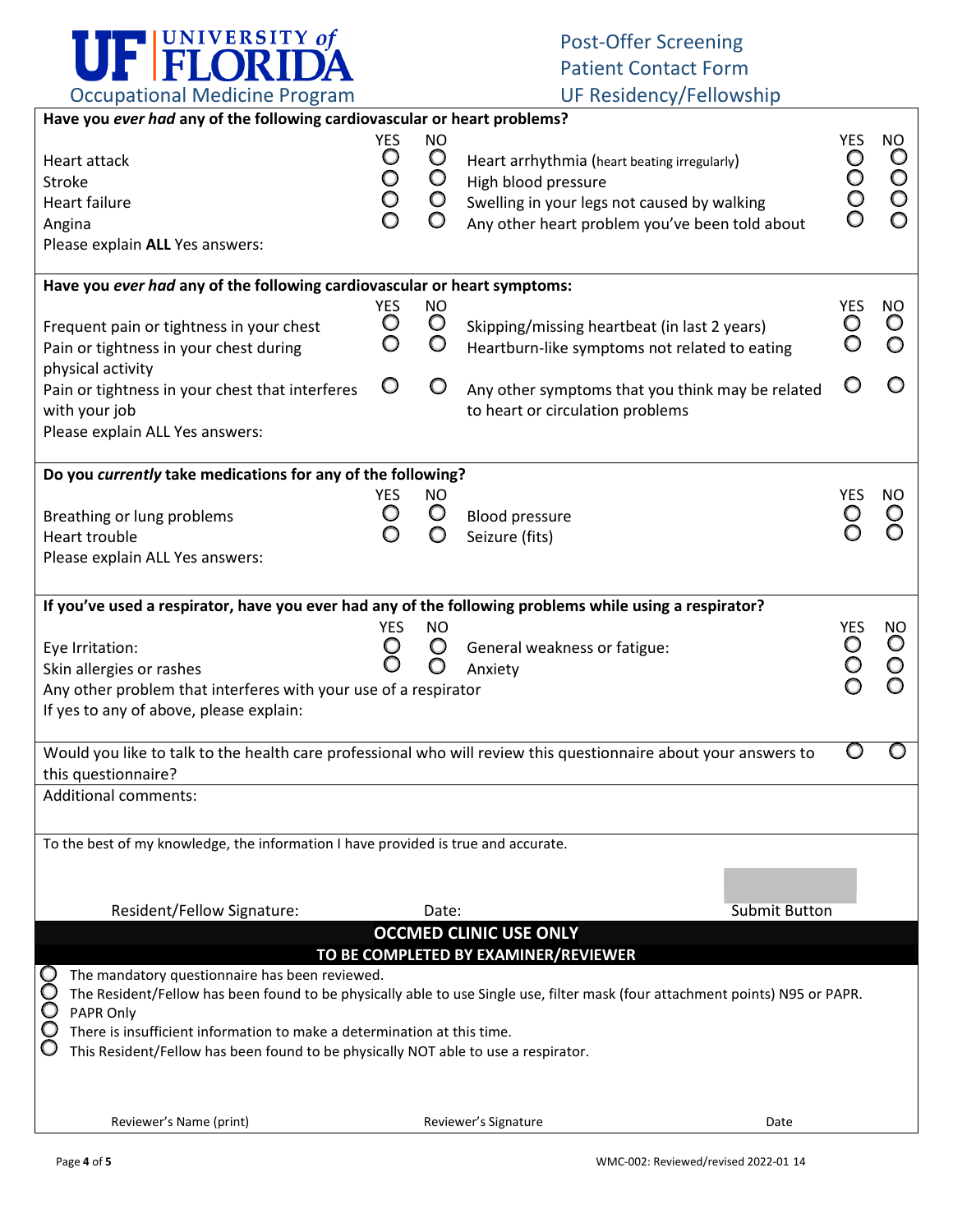

## Post-Offer Screening Patient Contact Form

|      | rocapational integrative in optaini                                                |                      |                                 |                                                                                                                               |                            |                                    |
|------|------------------------------------------------------------------------------------|----------------------|---------------------------------|-------------------------------------------------------------------------------------------------------------------------------|----------------------------|------------------------------------|
|      | Have you ever had any of the following cardiovascular or heart problems?           |                      |                                 |                                                                                                                               |                            |                                    |
|      | Heart attack<br>Stroke                                                             | <b>YES</b><br>O<br>O | <b>NO</b><br>$\circ$<br>$\circ$ | Heart arrhythmia (heart beating irregularly)<br>High blood pressure                                                           | <b>YES</b><br>O<br>$\circ$ | <b>NO</b><br>$\circ$<br>$\bigcirc$ |
|      | <b>Heart failure</b>                                                               | O                    | $\circ$                         | Swelling in your legs not caused by walking                                                                                   |                            | $\circ$                            |
|      | Angina                                                                             | O                    | O                               | Any other heart problem you've been told about                                                                                |                            | O                                  |
|      | Please explain ALL Yes answers:                                                    |                      |                                 |                                                                                                                               |                            |                                    |
|      |                                                                                    |                      |                                 |                                                                                                                               |                            |                                    |
|      | Have you ever had any of the following cardiovascular or heart symptoms:           |                      |                                 |                                                                                                                               |                            |                                    |
|      |                                                                                    | <b>YES</b>           | <b>NO</b>                       |                                                                                                                               | YES                        | <b>NO</b>                          |
|      | Frequent pain or tightness in your chest                                           | O                    | $\circ$                         | Skipping/missing heartbeat (in last 2 years)                                                                                  | Ő                          | $\circ$                            |
|      | Pain or tightness in your chest during                                             | O                    | $\circ$                         | Heartburn-like symptoms not related to eating                                                                                 | O                          | O                                  |
|      | physical activity                                                                  |                      |                                 |                                                                                                                               |                            |                                    |
|      | Pain or tightness in your chest that interferes                                    | O                    | $\circ$                         | Any other symptoms that you think may be related                                                                              |                            |                                    |
|      | with your job                                                                      |                      |                                 | to heart or circulation problems                                                                                              |                            |                                    |
|      | Please explain ALL Yes answers:                                                    |                      |                                 |                                                                                                                               |                            |                                    |
|      |                                                                                    |                      |                                 |                                                                                                                               |                            |                                    |
|      | Do you currently take medications for any of the following?                        |                      |                                 |                                                                                                                               |                            |                                    |
|      |                                                                                    | <b>YES</b>           | <b>NO</b>                       |                                                                                                                               | YES                        | NO                                 |
|      | Breathing or lung problems                                                         | O                    | $\circ$                         | <b>Blood pressure</b>                                                                                                         | O                          | O                                  |
|      | Heart trouble                                                                      | O                    | O                               | Seizure (fits)                                                                                                                |                            | O                                  |
|      | Please explain ALL Yes answers:                                                    |                      |                                 |                                                                                                                               |                            |                                    |
|      |                                                                                    |                      |                                 |                                                                                                                               |                            |                                    |
|      |                                                                                    |                      |                                 | If you've used a respirator, have you ever had any of the following problems while using a respirator?                        |                            |                                    |
|      |                                                                                    | <b>YES</b>           | <b>NO</b>                       |                                                                                                                               | <b>YES</b>                 | <b>NO</b>                          |
|      | Eye Irritation:                                                                    | O                    | O                               | General weakness or fatigue:                                                                                                  | O                          | $\circ$                            |
|      | Skin allergies or rashes                                                           | O                    | O                               | Anxiety                                                                                                                       | $\mathsf{O}$               | $\circ$                            |
|      | Any other problem that interferes with your use of a respirator                    |                      |                                 |                                                                                                                               |                            | O                                  |
|      | If yes to any of above, please explain:                                            |                      |                                 |                                                                                                                               |                            |                                    |
|      |                                                                                    |                      |                                 |                                                                                                                               |                            |                                    |
|      |                                                                                    |                      |                                 | Would you like to talk to the health care professional who will review this questionnaire about your answers to               |                            |                                    |
|      | this questionnaire?                                                                |                      |                                 |                                                                                                                               |                            |                                    |
|      | <b>Additional comments:</b>                                                        |                      |                                 |                                                                                                                               |                            |                                    |
|      |                                                                                    |                      |                                 |                                                                                                                               |                            |                                    |
|      | To the best of my knowledge, the information I have provided is true and accurate. |                      |                                 |                                                                                                                               |                            |                                    |
|      |                                                                                    |                      |                                 |                                                                                                                               |                            |                                    |
|      |                                                                                    |                      |                                 |                                                                                                                               |                            |                                    |
|      | Resident/Fellow Signature:                                                         |                      | Date:                           | Submit Button                                                                                                                 |                            |                                    |
|      |                                                                                    |                      |                                 |                                                                                                                               |                            |                                    |
|      |                                                                                    |                      |                                 | <b>OCCMED CLINIC USE ONLY</b>                                                                                                 |                            |                                    |
|      |                                                                                    |                      |                                 | TO BE COMPLETED BY EXAMINER/REVIEWER                                                                                          |                            |                                    |
| 0000 | The mandatory questionnaire has been reviewed.                                     |                      |                                 | The Resident/Fellow has been found to be physically able to use Single use, filter mask (four attachment points) N95 or PAPR. |                            |                                    |
|      | PAPR Only                                                                          |                      |                                 |                                                                                                                               |                            |                                    |
|      | There is insufficient information to make a determination at this time.            |                      |                                 |                                                                                                                               |                            |                                    |
| C    | This Resident/Fellow has been found to be physically NOT able to use a respirator. |                      |                                 |                                                                                                                               |                            |                                    |
|      |                                                                                    |                      |                                 |                                                                                                                               |                            |                                    |
|      |                                                                                    |                      |                                 |                                                                                                                               |                            |                                    |
|      | Reviewer's Name (print)                                                            |                      |                                 | Reviewer's Signature<br>Date                                                                                                  |                            |                                    |
|      |                                                                                    |                      |                                 |                                                                                                                               |                            |                                    |